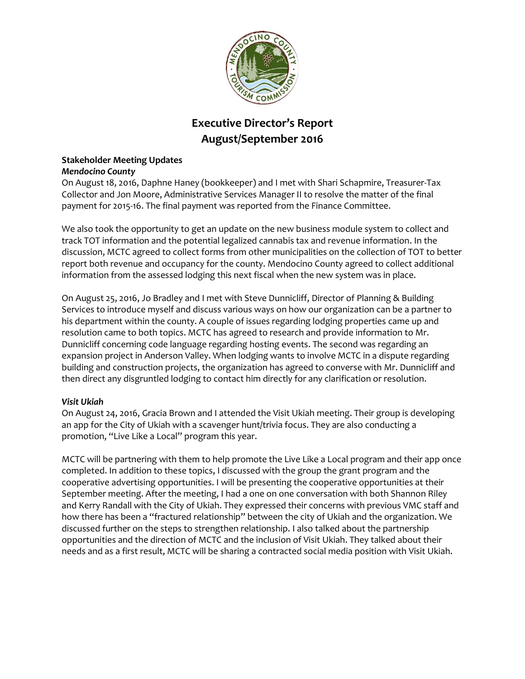

# **Executive Director's Report August/September 2016**

#### **Stakeholder Meeting Updates** *Mendocino County*

On August 18, 2016, Daphne Haney (bookkeeper) and I met with Shari Schapmire, Treasurer-Tax Collector and Jon Moore, Administrative Services Manager II to resolve the matter of the final payment for 2015-16. The final payment was reported from the Finance Committee.

We also took the opportunity to get an update on the new business module system to collect and track TOT information and the potential legalized cannabis tax and revenue information. In the discussion, MCTC agreed to collect forms from other municipalities on the collection of TOT to better report both revenue and occupancy for the county. Mendocino County agreed to collect additional information from the assessed lodging this next fiscal when the new system was in place.

On August 25, 2016, Jo Bradley and I met with Steve Dunnicliff, Director of Planning & Building Services to introduce myself and discuss various ways on how our organization can be a partner to his department within the county. A couple of issues regarding lodging properties came up and resolution came to both topics. MCTC has agreed to research and provide information to Mr. Dunnicliff concerning code language regarding hosting events. The second was regarding an expansion project in Anderson Valley. When lodging wants to involve MCTC in a dispute regarding building and construction projects, the organization has agreed to converse with Mr. Dunnicliff and then direct any disgruntled lodging to contact him directly for any clarification or resolution.

#### *Visit Ukiah*

On August 24, 2016, Gracia Brown and I attended the Visit Ukiah meeting. Their group is developing an app for the City of Ukiah with a scavenger hunt/trivia focus. They are also conducting a promotion, "Live Like a Local" program this year.

MCTC will be partnering with them to help promote the Live Like a Local program and their app once completed. In addition to these topics, I discussed with the group the grant program and the cooperative advertising opportunities. I will be presenting the cooperative opportunities at their September meeting. After the meeting, I had a one on one conversation with both Shannon Riley and Kerry Randall with the City of Ukiah. They expressed their concerns with previous VMC staff and how there has been a "fractured relationship" between the city of Ukiah and the organization. We discussed further on the steps to strengthen relationship. I also talked about the partnership opportunities and the direction of MCTC and the inclusion of Visit Ukiah. They talked about their needs and as a first result, MCTC will be sharing a contracted social media position with Visit Ukiah.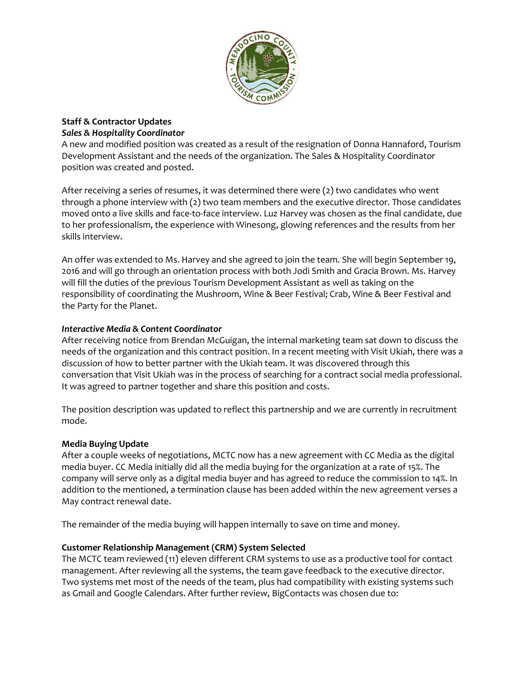

#### **Staff & Contractor Updates** *Sales & Hospitality Coordinator*

A new and modified position was created as a result of the resignation of Donna Hannaford, Tourism Development Assistant and the needs of the organization. The Sales & Hospitality Coordinator position was created and posted.

After receiving a series of resumes, it was determined there were (2) two candidates who went through a phone interview with (2) two team members and the executive director. Those candidates moved onto a live skills and face-to-face interview. Luz Harvey was chosen as the final candidate, due to her professionalism, the experience with Winesong, glowing references and the results from her skills interview.

An offer was extended to Ms. Harvey and she agreed to join the team. She will begin September 19, 2016 and will go through an orientation process with both Jodi Smith and Gracia Brown. Ms. Harvey will fill the duties of the previous Tourism Development Assistant as well as taking on the responsibility of coordinating the Mushroom, Wine & Beer Festival; Crab, Wine & Beer Festival and the Party for the Planet.

#### *Interactive Media & Content Coordinator*

After receiving notice from Brendan McGuigan, the internal marketing team sat down to discuss the needs of the organization and this contract position. In a recent meeting with Visit Ukiah, there was a discussion of how to better partner with the Ukiah team. It was discovered through this conversation that Visit Ukiah was in the process of searching for a contract social media professional. It was agreed to partner together and share this position and costs.

The position description was updated to reflect this partnership and we are currently in recruitment mode.

# **Media Buying Update**

After a couple weeks of negotiations, MCTC now has a new agreement with CC Media as the digital media buyer. CC Media initially did all the media buying for the organization at a rate of 15%. The company will serve only as a digital media buyer and has agreed to reduce the commission to 14%. In addition to the mentioned, a termination clause has been added within the new agreement verses a May contract renewal date.

The remainder of the media buying will happen internally to save on time and money.

# **Customer Relationship Management (CRM) System Selected**

The MCTC team reviewed (11) eleven different CRM systems to use as a productive tool for contact management. After reviewing all the systems, the team gave feedback to the executive director. Two systems met most of the needs of the team, plus had compatibility with existing systems such as Gmail and Google Calendars. After further review, BigContacts was chosen due to: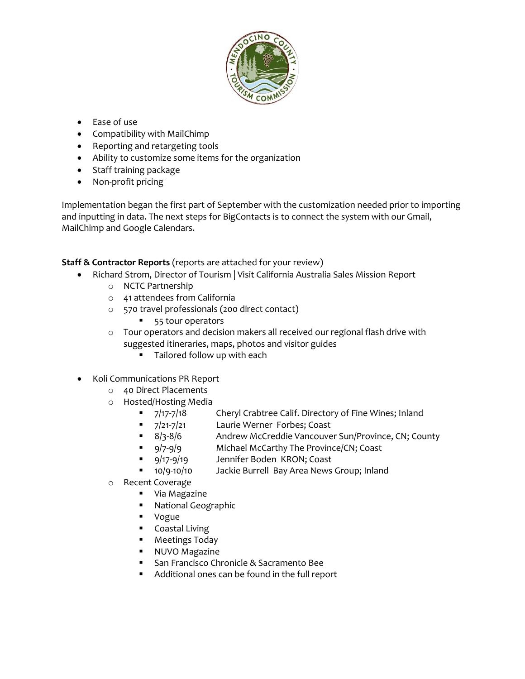

- Ease of use
- Compatibility with MailChimp
- Reporting and retargeting tools
- Ability to customize some items for the organization
- Staff training package
- Non-profit pricing

Implementation began the first part of September with the customization needed prior to importing and inputting in data. The next steps for BigContacts is to connect the system with our Gmail, MailChimp and Google Calendars.

# **Staff & Contractor Reports** (reports are attached for your review)

- Richard Strom, Director of Tourism | Visit California Australia Sales Mission Report
	- o NCTC Partnership
	- o 41 attendees from California
	- o 570 travel professionals (200 direct contact)
		- 55 tour operators
	- $\circ$  Tour operators and decision makers all received our regional flash drive with suggested itineraries, maps, photos and visitor guides
		- **Tailored follow up with each**
- Koli Communications PR Report
	- o 40 Direct Placements
	- o Hosted/Hosting Media
		-
		- 7/21-7/21 Laurie Werner Forbes; Coast
		- 7/17-7/18 Cheryl Crabtree Calif. Directory of Fine Wines; Inland<br>■ 7/21-7/21 Laurie Werner Forbes; Coast<br>■ 8/3-8/6 Andrew McCreddie Vancouver Sun/Province, CN; Cou<br>■ 9/7-9/9 Michael McCarthy The Province/CN; Coast ■ 8/3-8/6 Andrew McCreddie Vancouver Sun/Province, CN; County
		- 9/7-9/9 Michael McCarthy The Province/CN; Coast
		- **9/17-9/19** Jennifer Boden KRON; Coast
		- **10/9-10/10** Jackie Burrell Bay Area News Group; Inland
	- o Recent Coverage
		- **•** Via Magazine
		- **National Geographic**
		- Vogue
		- **Coastal Living**
		- **•** Meetings Today
		- **NUVO Magazine**
		- **San Francisco Chronicle & Sacramento Bee**
		- Additional ones can be found in the full report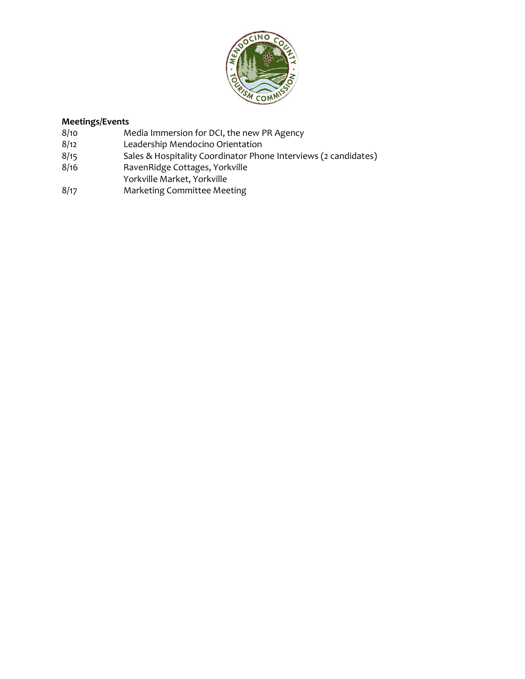

# **Meetings/Events**<br>8/10 M

- 8/10 Media Immersion for DCI, the new PR Agency<br>8/12 Leadership Mendocino Orientation
- 
- 8/12 Leadership Mendocino Orientation<br>8/15 Sales & Hospitality Coordinator Pho 8/15 Sales & Hospitality Coordinator Phone Interviews (2 candidates)<br>8/16 SavenRidge Cottages, Yorkville
- RavenRidge Cottages, Yorkville
- Yorkville Market, Yorkville
- 8/17 Marketing Committee Meeting